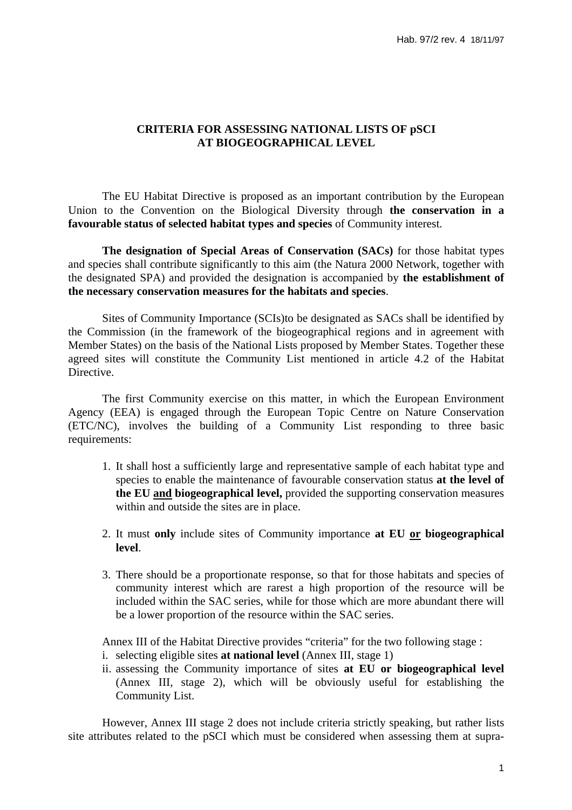# **CRITERIA FOR ASSESSING NATIONAL LISTS OF pSCI AT BIOGEOGRAPHICAL LEVEL**

 The EU Habitat Directive is proposed as an important contribution by the European Union to the Convention on the Biological Diversity through **the conservation in a favourable status of selected habitat types and species** of Community interest.

**The designation of Special Areas of Conservation (SACs)** for those habitat types and species shall contribute significantly to this aim (the Natura 2000 Network, together with the designated SPA) and provided the designation is accompanied by **the establishment of the necessary conservation measures for the habitats and species**.

 Sites of Community Importance (SCIs)to be designated as SACs shall be identified by the Commission (in the framework of the biogeographical regions and in agreement with Member States) on the basis of the National Lists proposed by Member States. Together these agreed sites will constitute the Community List mentioned in article 4.2 of the Habitat Directive.

 The first Community exercise on this matter, in which the European Environment Agency (EEA) is engaged through the European Topic Centre on Nature Conservation (ETC/NC), involves the building of a Community List responding to three basic requirements:

- 1. It shall host a sufficiently large and representative sample of each habitat type and species to enable the maintenance of favourable conservation status **at the level of the EU and biogeographical level,** provided the supporting conservation measures within and outside the sites are in place.
- 2. It must **only** include sites of Community importance **at EU or biogeographical level**.
- 3. There should be a proportionate response, so that for those habitats and species of community interest which are rarest a high proportion of the resource will be included within the SAC series, while for those which are more abundant there will be a lower proportion of the resource within the SAC series.

Annex III of the Habitat Directive provides "criteria" for the two following stage :

- i. selecting eligible sites **at national level** (Annex III, stage 1)
- ii. assessing the Community importance of sites **at EU or biogeographical level** (Annex III, stage 2), which will be obviously useful for establishing the Community List.

 However, Annex III stage 2 does not include criteria strictly speaking, but rather lists site attributes related to the pSCI which must be considered when assessing them at supra-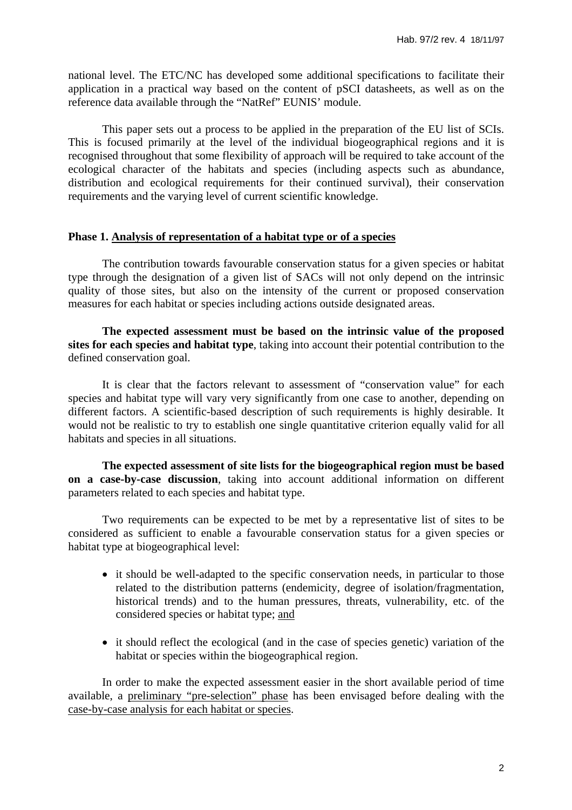national level. The ETC/NC has developed some additional specifications to facilitate their application in a practical way based on the content of pSCI datasheets, as well as on the reference data available through the "NatRef" EUNIS' module.

 This paper sets out a process to be applied in the preparation of the EU list of SCIs. This is focused primarily at the level of the individual biogeographical regions and it is recognised throughout that some flexibility of approach will be required to take account of the ecological character of the habitats and species (including aspects such as abundance, distribution and ecological requirements for their continued survival), their conservation requirements and the varying level of current scientific knowledge.

### **Phase 1. Analysis of representation of a habitat type or of a species**

 The contribution towards favourable conservation status for a given species or habitat type through the designation of a given list of SACs will not only depend on the intrinsic quality of those sites, but also on the intensity of the current or proposed conservation measures for each habitat or species including actions outside designated areas.

**The expected assessment must be based on the intrinsic value of the proposed sites for each species and habitat type**, taking into account their potential contribution to the defined conservation goal.

 It is clear that the factors relevant to assessment of "conservation value" for each species and habitat type will vary very significantly from one case to another, depending on different factors. A scientific-based description of such requirements is highly desirable. It would not be realistic to try to establish one single quantitative criterion equally valid for all habitats and species in all situations.

**The expected assessment of site lists for the biogeographical region must be based on a case-by-case discussion**, taking into account additional information on different parameters related to each species and habitat type.

 Two requirements can be expected to be met by a representative list of sites to be considered as sufficient to enable a favourable conservation status for a given species or habitat type at biogeographical level:

- it should be well-adapted to the specific conservation needs, in particular to those related to the distribution patterns (endemicity, degree of isolation/fragmentation, historical trends) and to the human pressures, threats, vulnerability, etc. of the considered species or habitat type; and
- it should reflect the ecological (and in the case of species genetic) variation of the habitat or species within the biogeographical region.

 In order to make the expected assessment easier in the short available period of time available, a preliminary "pre-selection" phase has been envisaged before dealing with the case-by-case analysis for each habitat or species.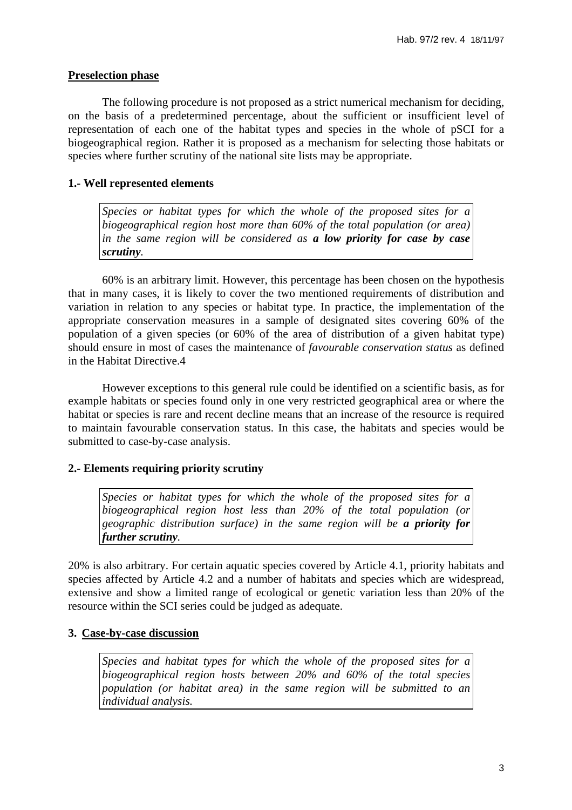# **Preselection phase**

 The following procedure is not proposed as a strict numerical mechanism for deciding, on the basis of a predetermined percentage, about the sufficient or insufficient level of representation of each one of the habitat types and species in the whole of pSCI for a biogeographical region. Rather it is proposed as a mechanism for selecting those habitats or species where further scrutiny of the national site lists may be appropriate.

# **1.- Well represented elements**

*Species or habitat types for which the whole of the proposed sites for a biogeographical region host more than 60% of the total population (or area) in the same region will be considered as a low priority for case by case scrutiny.* 

 60% is an arbitrary limit. However, this percentage has been chosen on the hypothesis that in many cases, it is likely to cover the two mentioned requirements of distribution and variation in relation to any species or habitat type. In practice, the implementation of the appropriate conservation measures in a sample of designated sites covering 60% of the population of a given species (or 60% of the area of distribution of a given habitat type) should ensure in most of cases the maintenance of *favourable conservation status* as defined in the Habitat Directive.4

 However exceptions to this general rule could be identified on a scientific basis, as for example habitats or species found only in one very restricted geographical area or where the habitat or species is rare and recent decline means that an increase of the resource is required to maintain favourable conservation status. In this case, the habitats and species would be submitted to case-by-case analysis.

# **2.- Elements requiring priority scrutiny**

*Species or habitat types for which the whole of the proposed sites for a biogeographical region host less than 20% of the total population (or geographic distribution surface) in the same region will be a priority for further scrutiny.* 

20% is also arbitrary. For certain aquatic species covered by Article 4.1, priority habitats and species affected by Article 4.2 and a number of habitats and species which are widespread, extensive and show a limited range of ecological or genetic variation less than 20% of the resource within the SCI series could be judged as adequate.

# **3. Case-by-case discussion**

*Species and habitat types for which the whole of the proposed sites for a biogeographical region hosts between 20% and 60% of the total species population (or habitat area) in the same region will be submitted to an individual analysis.*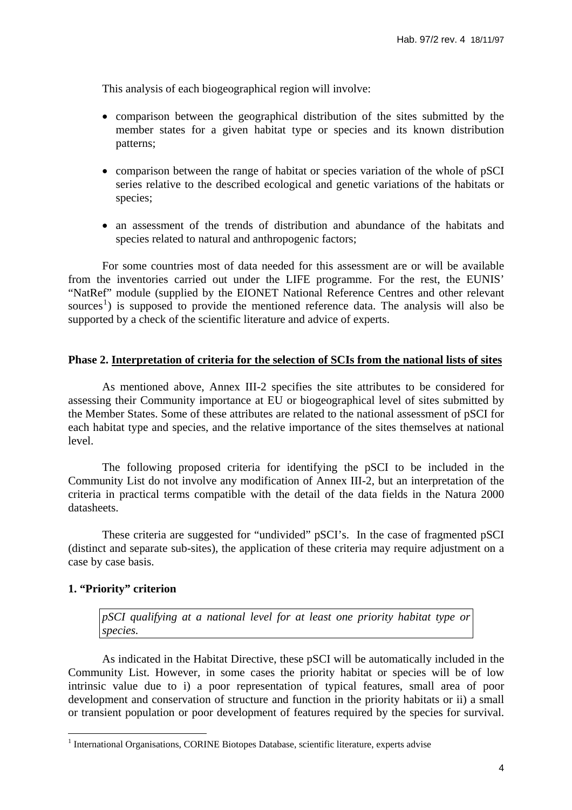This analysis of each biogeographical region will involve:

- comparison between the geographical distribution of the sites submitted by the member states for a given habitat type or species and its known distribution patterns;
- comparison between the range of habitat or species variation of the whole of pSCI series relative to the described ecological and genetic variations of the habitats or species;
- an assessment of the trends of distribution and abundance of the habitats and species related to natural and anthropogenic factors;

 For some countries most of data needed for this assessment are or will be available from the inventories carried out under the LIFE programme. For the rest, the EUNIS' "NatRef" module (supplied by the EIONET National Reference Centres and other relevant sources<sup>[1](#page-3-0)</sup>) is supposed to provide the mentioned reference data. The analysis will also be supported by a check of the scientific literature and advice of experts.

### **Phase 2. Interpretation of criteria for the selection of SCIs from the national lists of sites**

 As mentioned above, Annex III-2 specifies the site attributes to be considered for assessing their Community importance at EU or biogeographical level of sites submitted by the Member States. Some of these attributes are related to the national assessment of pSCI for each habitat type and species, and the relative importance of the sites themselves at national level.

 The following proposed criteria for identifying the pSCI to be included in the Community List do not involve any modification of Annex III-2, but an interpretation of the criteria in practical terms compatible with the detail of the data fields in the Natura 2000 datasheets.

 These criteria are suggested for "undivided" pSCI's. In the case of fragmented pSCI (distinct and separate sub-sites), the application of these criteria may require adjustment on a case by case basis.

#### **1. "Priority" criterion**

 $\overline{a}$ 

*pSCI qualifying at a national level for at least one priority habitat type or species.* 

 As indicated in the Habitat Directive, these pSCI will be automatically included in the Community List. However, in some cases the priority habitat or species will be of low intrinsic value due to i) a poor representation of typical features, small area of poor development and conservation of structure and function in the priority habitats or ii) a small or transient population or poor development of features required by the species for survival.

<span id="page-3-0"></span><sup>&</sup>lt;sup>1</sup> International Organisations, CORINE Biotopes Database, scientific literature, experts advise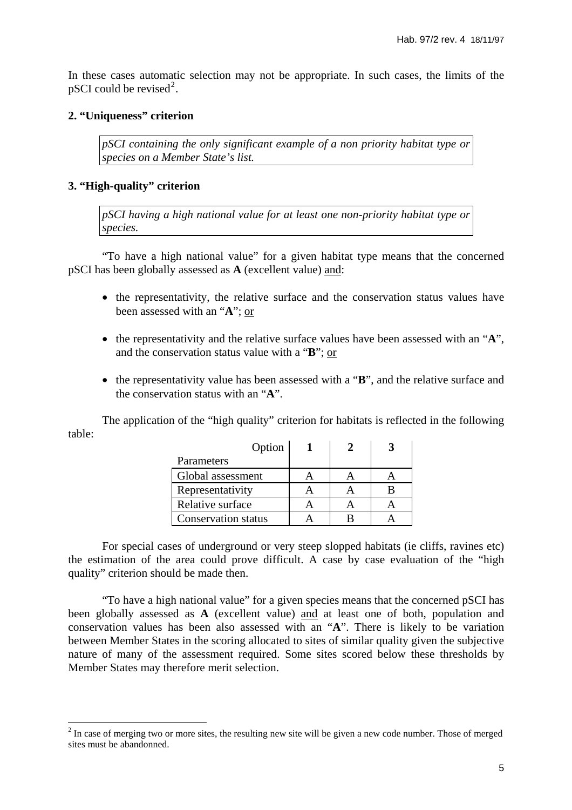In these cases automatic selection may not be appropriate. In such cases, the limits of the pSCI could be revised<sup>[2](#page-4-0)</sup>.

## **2. "Uniqueness" criterion**

*pSCI containing the only significant example of a non priority habitat type or species on a Member State's list.* 

## **3. "High-quality" criterion**

 $\overline{a}$ 

*pSCI having a high national value for at least one non-priority habitat type or species.* 

 "To have a high national value" for a given habitat type means that the concerned pSCI has been globally assessed as **A** (excellent value) and:

- the representativity, the relative surface and the conservation status values have been assessed with an "**A**"; or
- the representativity and the relative surface values have been assessed with an "**A**", and the conservation status value with a "**B**"; or
- the representativity value has been assessed with a "**B**", and the relative surface and the conservation status with an "**A**".

 The application of the "high quality" criterion for habitats is reflected in the following table: 

| Option                     |  |  |
|----------------------------|--|--|
| Parameters                 |  |  |
| Global assessment          |  |  |
| Representativity           |  |  |
| Relative surface           |  |  |
| <b>Conservation status</b> |  |  |

 For special cases of underground or very steep slopped habitats (ie cliffs, ravines etc) the estimation of the area could prove difficult. A case by case evaluation of the "high quality" criterion should be made then.

 "To have a high national value" for a given species means that the concerned pSCI has been globally assessed as **A** (excellent value) and at least one of both, population and conservation values has been also assessed with an "**A**". There is likely to be variation between Member States in the scoring allocated to sites of similar quality given the subjective nature of many of the assessment required. Some sites scored below these thresholds by Member States may therefore merit selection.

<span id="page-4-0"></span> $2^{2}$  In case of merging two or more sites, the resulting new site will be given a new code number. Those of merged sites must be abandonned.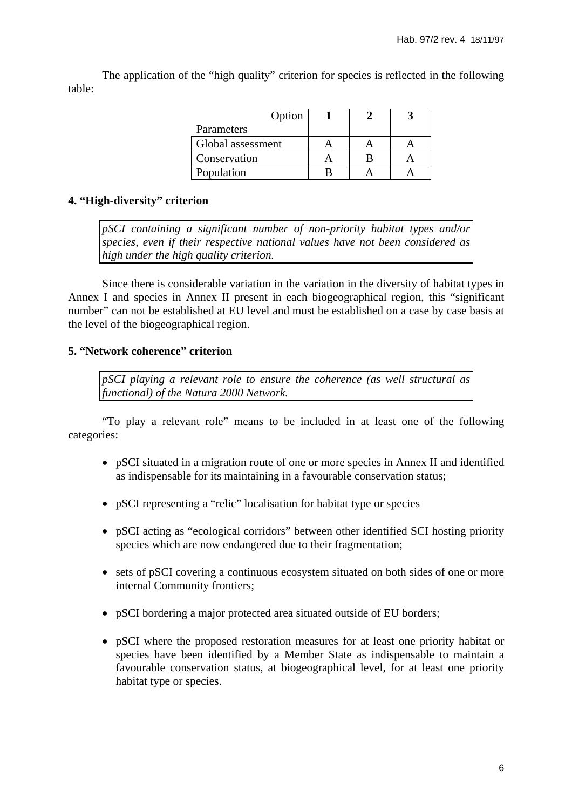The application of the "high quality" criterion for species is reflected in the following table:

| Option            |  |  |
|-------------------|--|--|
| Parameters        |  |  |
| Global assessment |  |  |
| Conservation      |  |  |
| Population        |  |  |

# **4. "High-diversity" criterion**

*pSCI containing a significant number of non-priority habitat types and/or species, even if their respective national values have not been considered as high under the high quality criterion.* 

 Since there is considerable variation in the variation in the diversity of habitat types in Annex I and species in Annex II present in each biogeographical region, this "significant number" can not be established at EU level and must be established on a case by case basis at the level of the biogeographical region.

# **5. "Network coherence" criterion**

*pSCI playing a relevant role to ensure the coherence (as well structural as functional) of the Natura 2000 Network.* 

 "To play a relevant role" means to be included in at least one of the following categories:

- pSCI situated in a migration route of one or more species in Annex II and identified as indispensable for its maintaining in a favourable conservation status;
- pSCI representing a "relic" localisation for habitat type or species
- pSCI acting as "ecological corridors" between other identified SCI hosting priority species which are now endangered due to their fragmentation;
- sets of pSCI covering a continuous ecosystem situated on both sides of one or more internal Community frontiers;
- pSCI bordering a major protected area situated outside of EU borders;
- pSCI where the proposed restoration measures for at least one priority habitat or species have been identified by a Member State as indispensable to maintain a favourable conservation status, at biogeographical level, for at least one priority habitat type or species.